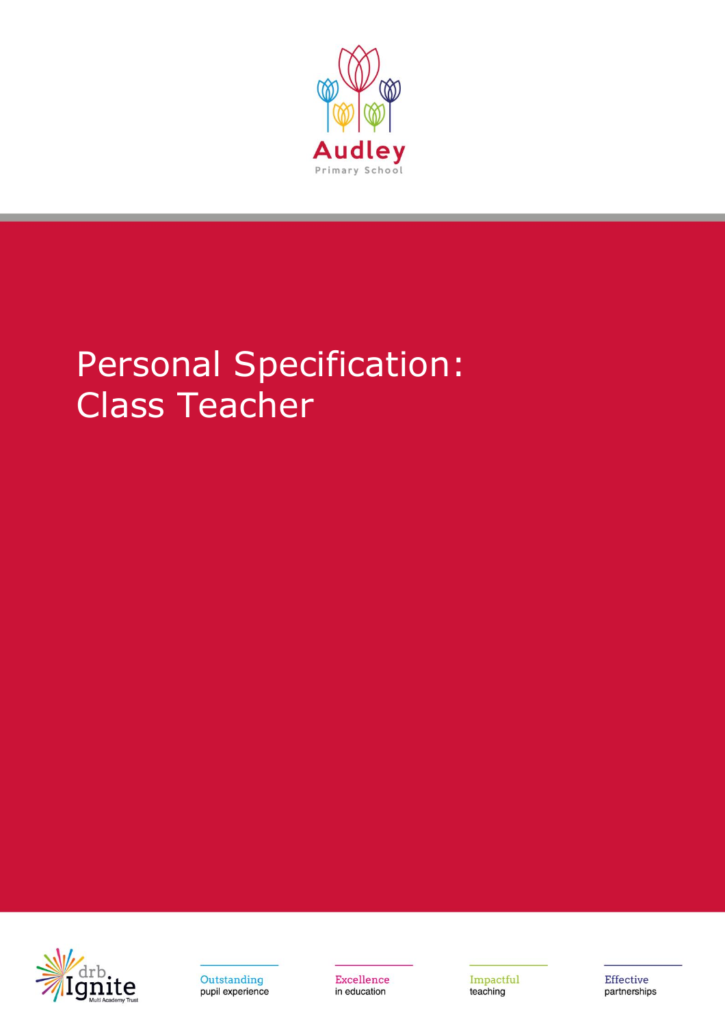

## Personal Specification: Class Teacher





Excellence in education

Impactful teaching

Effective partnerships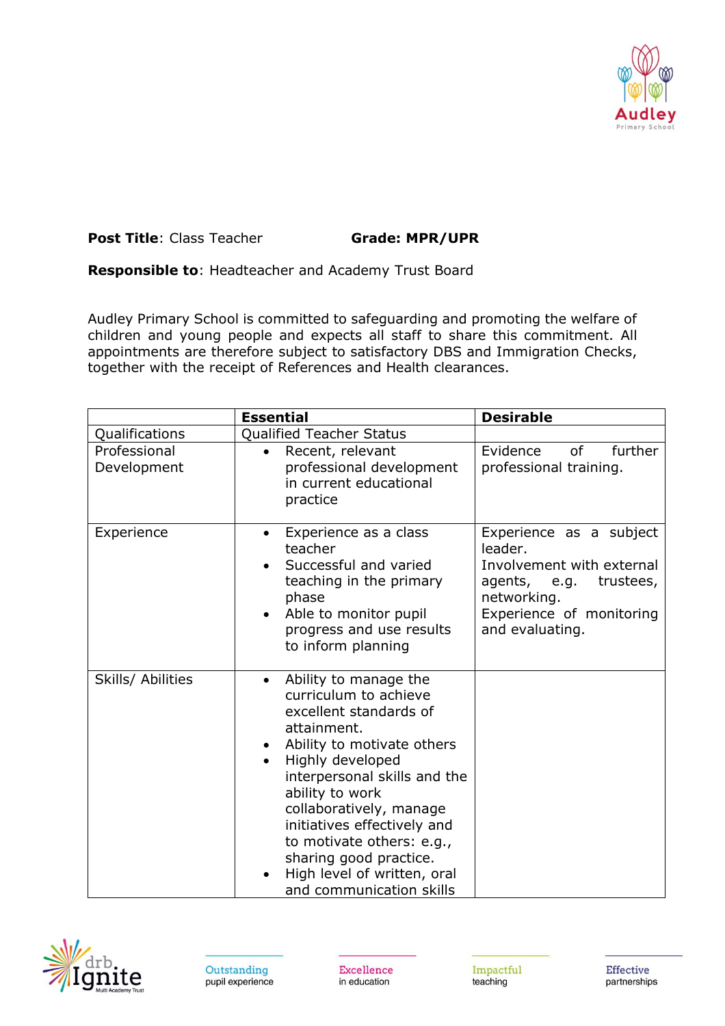

## **Post Title**: Class Teacher **Grade: MPR/UPR**

**Responsible to**: Headteacher and Academy Trust Board

Audley Primary School is committed to safeguarding and promoting the welfare of children and young people and expects all staff to share this commitment. All appointments are therefore subject to satisfactory DBS and Immigration Checks, together with the receipt of References and Health clearances.

|                             | <b>Essential</b>                                                                                                                                                                                                                                                                                                                                                                                   | <b>Desirable</b>                                                                                                                                           |
|-----------------------------|----------------------------------------------------------------------------------------------------------------------------------------------------------------------------------------------------------------------------------------------------------------------------------------------------------------------------------------------------------------------------------------------------|------------------------------------------------------------------------------------------------------------------------------------------------------------|
| Qualifications              | <b>Qualified Teacher Status</b>                                                                                                                                                                                                                                                                                                                                                                    |                                                                                                                                                            |
| Professional<br>Development | Recent, relevant<br>professional development<br>in current educational<br>practice                                                                                                                                                                                                                                                                                                                 | <sub>of</sub><br>Evidence<br>further<br>professional training.                                                                                             |
| Experience                  | Experience as a class<br>$\bullet$<br>teacher<br>Successful and varied<br>teaching in the primary<br>phase<br>Able to monitor pupil<br>progress and use results<br>to inform planning                                                                                                                                                                                                              | Experience as a subject<br>leader.<br>Involvement with external<br>agents, e.g.<br>trustees,<br>networking.<br>Experience of monitoring<br>and evaluating. |
| Skills/ Abilities           | Ability to manage the<br>$\bullet$<br>curriculum to achieve<br>excellent standards of<br>attainment.<br>Ability to motivate others<br>$\bullet$<br>Highly developed<br>interpersonal skills and the<br>ability to work<br>collaboratively, manage<br>initiatives effectively and<br>to motivate others: e.g.,<br>sharing good practice.<br>High level of written, oral<br>and communication skills |                                                                                                                                                            |



Excellence in education